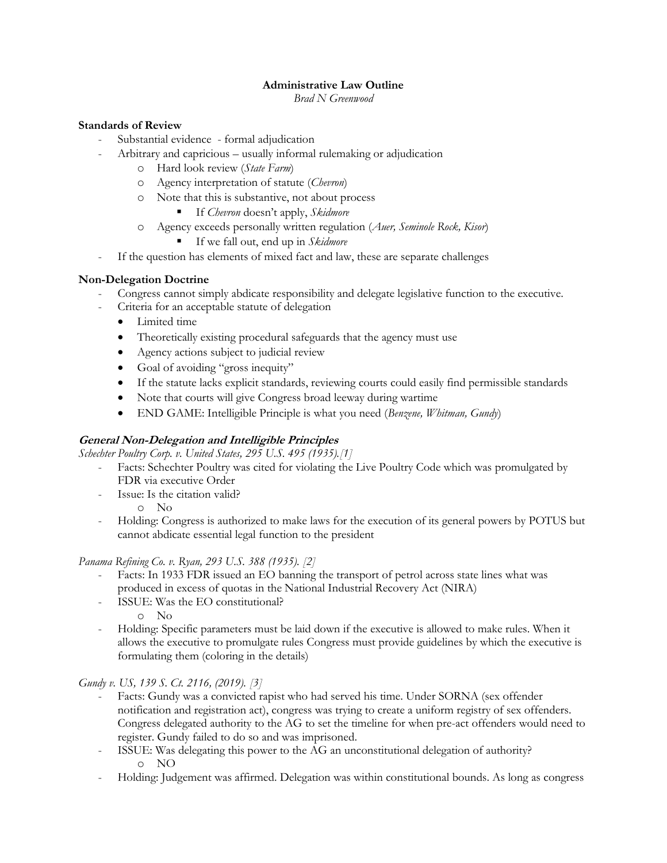## **Administrative Law Outline**

*Brad N Greenwood*

## **Standards of Review**

- Substantial evidence formal adjudication
- Arbitrary and capricious usually informal rulemaking or adjudication
	- o Hard look review (*State Farm*)
	- o Agency interpretation of statute (*Chevron*)
	- o Note that this is substantive, not about process
		- If *Chevron* doesn't apply, *Skidmore*
	- o Agency exceeds personally written regulation (*Auer, Seminole Rock, Kisor*)
		- If we fall out, end up in *Skidmore*
- If the question has elements of mixed fact and law, these are separate challenges

## **Non-Delegation Doctrine**

- Congress cannot simply abdicate responsibility and delegate legislative function to the executive.
- Criteria for an acceptable statute of delegation
	- Limited time
	- Theoretically existing procedural safeguards that the agency must use
	- Agency actions subject to judicial review
	- Goal of avoiding "gross inequity"
	- If the statute lacks explicit standards, reviewing courts could easily find permissible standards
	- Note that courts will give Congress broad leeway during wartime
	- END GAME: Intelligible Principle is what you need (*Benzene, Whitman, Gundy*)

## **General Non-Delegation and Intelligible Principles**

*Schechter Poultry Corp. v. United States, 295 U.S. 495 (1935).[1]*

- Facts: Schechter Poultry was cited for violating the Live Poultry Code which was promulgated by FDR via executive Order
- Issue: Is the citation valid?

o No

- Holding: Congress is authorized to make laws for the execution of its general powers by POTUS but cannot abdicate essential legal function to the president

## *Panama Refining Co. v. Ryan, 293 U.S. 388 (1935). [2]*

- Facts: In 1933 FDR issued an EO banning the transport of petrol across state lines what was produced in excess of quotas in the National Industrial Recovery Act (NIRA)
- ISSUE: Was the EO constitutional?
	- o No
- Holding: Specific parameters must be laid down if the executive is allowed to make rules. When it allows the executive to promulgate rules Congress must provide guidelines by which the executive is formulating them (coloring in the details)

## *Gundy v. US, 139 S. Ct. 2116, (2019). [3]*

- Facts: Gundy was a convicted rapist who had served his time. Under SORNA (sex offender notification and registration act), congress was trying to create a uniform registry of sex offenders. Congress delegated authority to the AG to set the timeline for when pre-act offenders would need to register. Gundy failed to do so and was imprisoned.
- ISSUE: Was delegating this power to the AG an unconstitutional delegation of authority? o NO
- Holding: Judgement was affirmed. Delegation was within constitutional bounds. As long as congress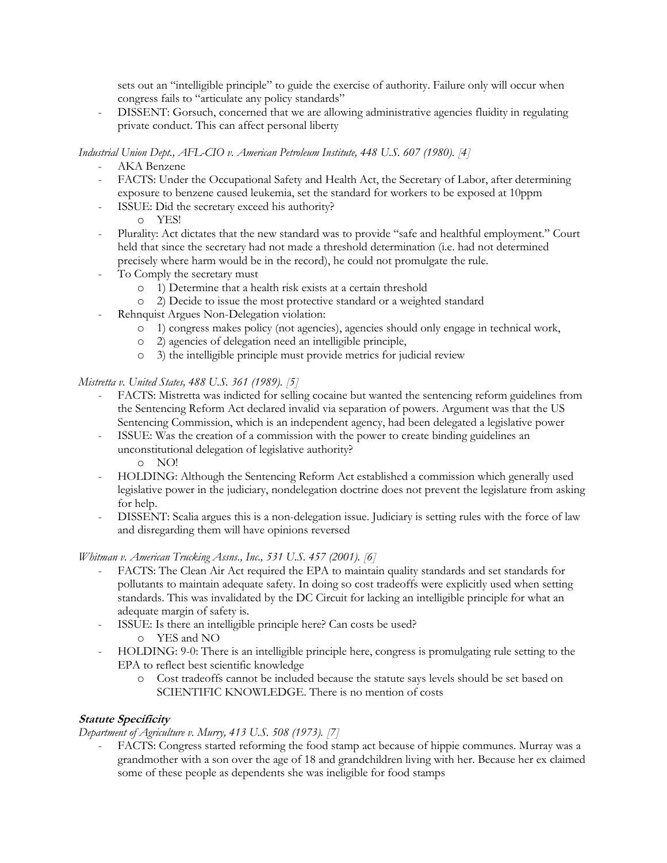sets out an "intelligible principle" to guide the exercise of authority. Failure only will occur when congress fails to "articulate any policy standards"

- DISSENT: Gorsuch, concerned that we are allowing administrative agencies fluidity in regulating private conduct. This can affect personal liberty

*Industrial Union Dept., AFL-CIO v. American Petroleum Institute, 448 U.S. 607 (1980). [4]*

- AKA Benzene
- FACTS: Under the Occupational Safety and Health Act, the Secretary of Labor, after determining exposure to benzene caused leukemia, set the standard for workers to be exposed at 10ppm
- ISSUE: Did the secretary exceed his authority?
	- o YES!
- Plurality: Act dictates that the new standard was to provide "safe and healthful employment." Court held that since the secretary had not made a threshold determination (i.e. had not determined precisely where harm would be in the record), he could not promulgate the rule.
- To Comply the secretary must
	- o 1) Determine that a health risk exists at a certain threshold
	- o 2) Decide to issue the most protective standard or a weighted standard
- Rehnquist Argues Non-Delegation violation:
	- o 1) congress makes policy (not agencies), agencies should only engage in technical work,
	- o 2) agencies of delegation need an intelligible principle,
	- o 3) the intelligible principle must provide metrics for judicial review

## *Mistretta v. United States, 488 U.S. 361 (1989). [5]*

- FACTS: Mistretta was indicted for selling cocaine but wanted the sentencing reform guidelines from the Sentencing Reform Act declared invalid via separation of powers. Argument was that the US Sentencing Commission, which is an independent agency, had been delegated a legislative power
- ISSUE: Was the creation of a commission with the power to create binding guidelines an unconstitutional delegation of legislative authority?
	- o NO!
- HOLDING: Although the Sentencing Reform Act established a commission which generally used legislative power in the judiciary, nondelegation doctrine does not prevent the legislature from asking for help.
- DISSENT: Scalia argues this is a non-delegation issue. Judiciary is setting rules with the force of law and disregarding them will have opinions reversed

*Whitman v. American Trucking Assns., Inc., 531 U.S. 457 (2001). [6]*

- FACTS: The Clean Air Act required the EPA to maintain quality standards and set standards for pollutants to maintain adequate safety. In doing so cost tradeoffs were explicitly used when setting standards. This was invalidated by the DC Circuit for lacking an intelligible principle for what an adequate margin of safety is.
- ISSUE: Is there an intelligible principle here? Can costs be used?
	- o YES and NO
- HOLDING: 9-0: There is an intelligible principle here, congress is promulgating rule setting to the EPA to reflect best scientific knowledge
	- o Cost tradeoffs cannot be included because the statute says levels should be set based on SCIENTIFIC KNOWLEDGE. There is no mention of costs

## **Statute Specificity**

*Department of Agriculture v. Murry, 413 U.S. 508 (1973). [7]*

- FACTS: Congress started reforming the food stamp act because of hippie communes. Murray was a grandmother with a son over the age of 18 and grandchildren living with her. Because her ex claimed some of these people as dependents she was ineligible for food stamps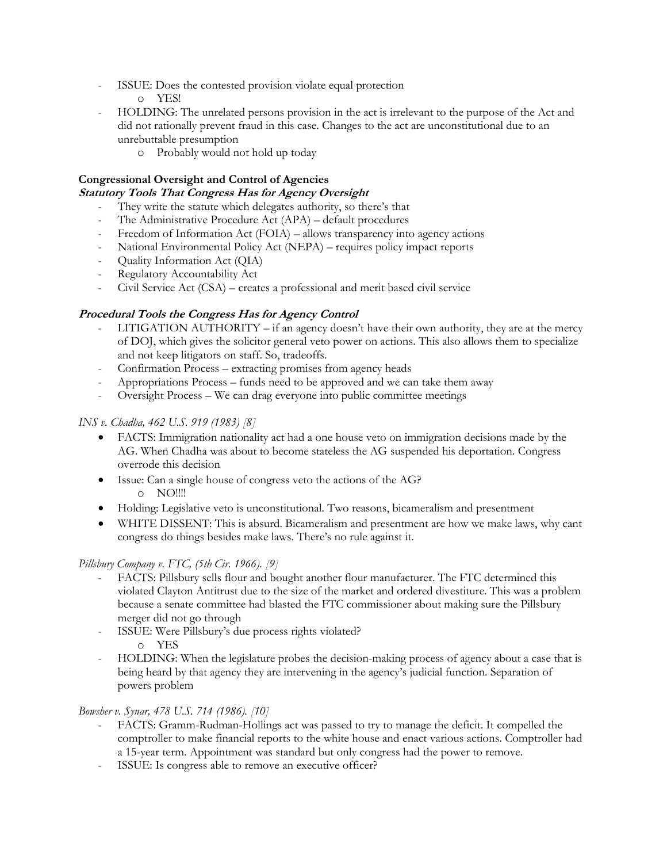- ISSUE: Does the contested provision violate equal protection
	- o YES!
- HOLDING: The unrelated persons provision in the act is irrelevant to the purpose of the Act and did not rationally prevent fraud in this case. Changes to the act are unconstitutional due to an unrebuttable presumption
	- o Probably would not hold up today

# **Congressional Oversight and Control of Agencies**

## **Statutory Tools That Congress Has for Agency Oversight**

- They write the statute which delegates authority, so there's that
- The Administrative Procedure Act (APA) default procedures
- Freedom of Information Act (FOIA) allows transparency into agency actions
- National Environmental Policy Act (NEPA) requires policy impact reports
- Quality Information Act (QIA)
- Regulatory Accountability Act
- Civil Service Act (CSA) creates a professional and merit based civil service

## **Procedural Tools the Congress Has for Agency Control**

- $LITIGATION AUTHORITY if an agency doesn't have their own authority, they are at the mercury.$ of DOJ, which gives the solicitor general veto power on actions. This also allows them to specialize and not keep litigators on staff. So, tradeoffs.
- Confirmation Process extracting promises from agency heads
- Appropriations Process funds need to be approved and we can take them away
- Oversight Process We can drag everyone into public committee meetings

## *INS v. Chadha, 462 U.S. 919 (1983) [8]*

- FACTS: Immigration nationality act had a one house veto on immigration decisions made by the AG. When Chadha was about to become stateless the AG suspended his deportation. Congress overrode this decision
- Issue: Can a single house of congress veto the actions of the AG? o NO!!!!
- Holding: Legislative veto is unconstitutional. Two reasons, bicameralism and presentment
- WHITE DISSENT: This is absurd. Bicameralism and presentment are how we make laws, why cant congress do things besides make laws. There's no rule against it.

## *Pillsbury Company v. FTC, (5th Cir. 1966). [9]*

- FACTS: Pillsbury sells flour and bought another flour manufacturer. The FTC determined this violated Clayton Antitrust due to the size of the market and ordered divestiture. This was a problem because a senate committee had blasted the FTC commissioner about making sure the Pillsbury merger did not go through
- ISSUE: Were Pillsbury's due process rights violated? o YES
- HOLDING: When the legislature probes the decision-making process of agency about a case that is being heard by that agency they are intervening in the agency's judicial function. Separation of powers problem

## *Bowsher v. Synar, 478 U.S. 714 (1986). [10]*

- FACTS: Gramm-Rudman-Hollings act was passed to try to manage the deficit. It compelled the comptroller to make financial reports to the white house and enact various actions. Comptroller had a 15-year term. Appointment was standard but only congress had the power to remove.
- ISSUE: Is congress able to remove an executive officer?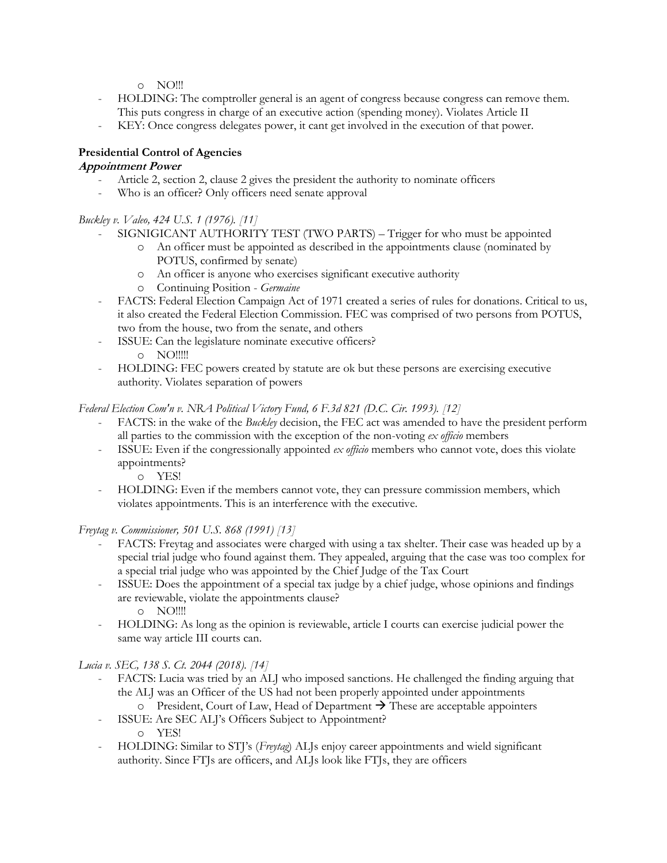o NO!!!

- HOLDING: The comptroller general is an agent of congress because congress can remove them. This puts congress in charge of an executive action (spending money). Violates Article II
- KEY: Once congress delegates power, it cant get involved in the execution of that power.

## **Presidential Control of Agencies**

## **Appointment Power**

- Article 2, section 2, clause 2 gives the president the authority to nominate officers
- Who is an officer? Only officers need senate approval

*Buckley v. Valeo, 424 U.S. 1 (1976). [11]*

- SIGNIGICANT AUTHORITY TEST (TWO PARTS) Trigger for who must be appointed
	- o An officer must be appointed as described in the appointments clause (nominated by POTUS, confirmed by senate)
	- o An officer is anyone who exercises significant executive authority
	- o Continuing Position *Germaine*
- FACTS: Federal Election Campaign Act of 1971 created a series of rules for donations. Critical to us, it also created the Federal Election Commission. FEC was comprised of two persons from POTUS, two from the house, two from the senate, and others
- ISSUE: Can the legislature nominate executive officers?
	- o NO!!!!!
- HOLDING: FEC powers created by statute are ok but these persons are exercising executive authority. Violates separation of powers

*Federal Election Com'n v. NRA Political Victory Fund, 6 F.3d 821 (D.C. Cir. 1993). [12]*

- FACTS: in the wake of the *Buckley* decision, the FEC act was amended to have the president perform all parties to the commission with the exception of the non-voting *ex officio* members
- ISSUE: Even if the congressionally appointed *ex officio* members who cannot vote, does this violate appointments?
	- o YES!
- HOLDING: Even if the members cannot vote, they can pressure commission members, which violates appointments. This is an interference with the executive.

*Freytag v. Commissioner, 501 U.S. 868 (1991) [13]*

- FACTS: Freytag and associates were charged with using a tax shelter. Their case was headed up by a special trial judge who found against them. They appealed, arguing that the case was too complex for a special trial judge who was appointed by the Chief Judge of the Tax Court
- ISSUE: Does the appointment of a special tax judge by a chief judge, whose opinions and findings are reviewable, violate the appointments clause? o NO!!!!
- HOLDING: As long as the opinion is reviewable, article I courts can exercise judicial power the same way article III courts can.

*Lucia v. SEC, 138 S. Ct. 2044 (2018). [14]*

- FACTS: Lucia was tried by an ALJ who imposed sanctions. He challenged the finding arguing that the ALJ was an Officer of the US had not been properly appointed under appointments
	- o President, Court of Law, Head of Department  $\rightarrow$  These are acceptable appointers
- ISSUE: Are SEC ALJ's Officers Subject to Appointment? o YES!
- HOLDING: Similar to STJ's (*Freytag*) ALJs enjoy career appointments and wield significant authority. Since FTJs are officers, and ALJs look like FTJs, they are officers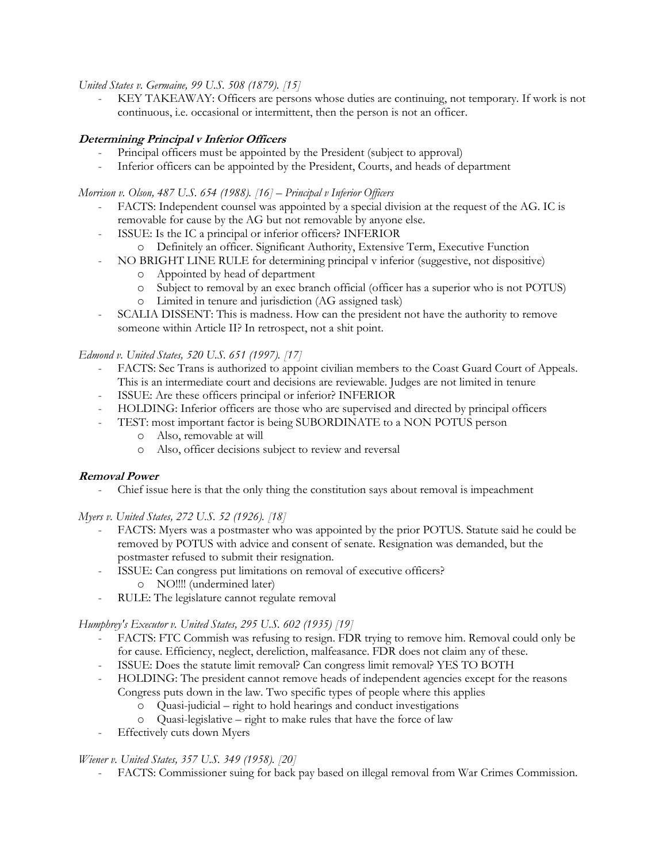*United States v. Germaine, 99 U.S. 508 (1879). [15]*

- KEY TAKEAWAY: Officers are persons whose duties are continuing, not temporary. If work is not continuous, i.e. occasional or intermittent, then the person is not an officer.

## **Determining Principal v Inferior Officers**

- Principal officers must be appointed by the President (subject to approval)
- Inferior officers can be appointed by the President, Courts, and heads of department

*Morrison v. Olson, 487 U.S. 654 (1988). [16] – Principal v Inferior Officers*

- FACTS: Independent counsel was appointed by a special division at the request of the AG. IC is removable for cause by the AG but not removable by anyone else.
	- ISSUE: Is the IC a principal or inferior officers? INFERIOR
		- o Definitely an officer. Significant Authority, Extensive Term, Executive Function
- NO BRIGHT LINE RULE for determining principal v inferior (suggestive, not dispositive)
	- o Appointed by head of department
	- o Subject to removal by an exec branch official (officer has a superior who is not POTUS)
	- o Limited in tenure and jurisdiction (AG assigned task)
- SCALIA DISSENT: This is madness. How can the president not have the authority to remove someone within Article II? In retrospect, not a shit point.

*Edmond v. United States, 520 U.S. 651 (1997). [17]*

- FACTS: Sec Trans is authorized to appoint civilian members to the Coast Guard Court of Appeals. This is an intermediate court and decisions are reviewable. Judges are not limited in tenure
- ISSUE: Are these officers principal or inferior? INFERIOR
- HOLDING: Inferior officers are those who are supervised and directed by principal officers
- TEST: most important factor is being SUBORDINATE to a NON POTUS person
	- o Also, removable at will
	- o Also, officer decisions subject to review and reversal

#### **Removal Power**

- Chief issue here is that the only thing the constitution says about removal is impeachment

*Myers v. United States, 272 U.S. 52 (1926). [18]*

- FACTS: Myers was a postmaster who was appointed by the prior POTUS. Statute said he could be removed by POTUS with advice and consent of senate. Resignation was demanded, but the postmaster refused to submit their resignation.
- ISSUE: Can congress put limitations on removal of executive officers?
	- o NO!!!! (undermined later)
- RULE: The legislature cannot regulate removal

*Humphrey's Executor v. United States, 295 U.S. 602 (1935) [19]*

- FACTS: FTC Commish was refusing to resign. FDR trying to remove him. Removal could only be for cause. Efficiency, neglect, dereliction, malfeasance. FDR does not claim any of these.
- ISSUE: Does the statute limit removal? Can congress limit removal? YES TO BOTH
- HOLDING: The president cannot remove heads of independent agencies except for the reasons Congress puts down in the law. Two specific types of people where this applies
	- o Quasi-judicial right to hold hearings and conduct investigations
	- o Quasi-legislative right to make rules that have the force of law
- Effectively cuts down Myers

#### *Wiener v. United States, 357 U.S. 349 (1958). [20]*

- FACTS: Commissioner suing for back pay based on illegal removal from War Crimes Commission.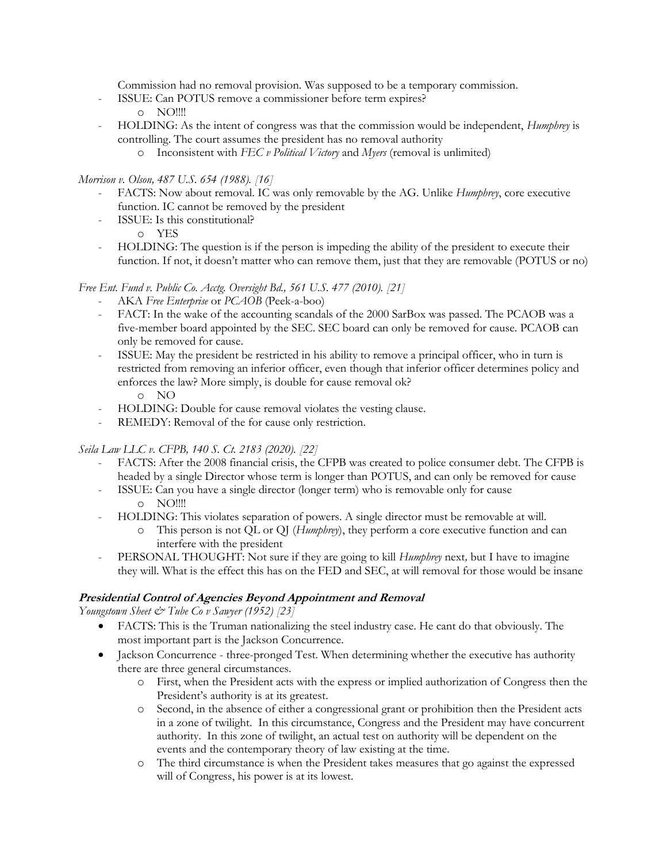Commission had no removal provision. Was supposed to be a temporary commission.

- ISSUE: Can POTUS remove a commissioner before term expires?
	- o NO!!!!
- HOLDING: As the intent of congress was that the commission would be independent, *Humphrey* is controlling. The court assumes the president has no removal authority
	- o Inconsistent with *FEC v Political Victory* and *Myers* (removal is unlimited)

## *Morrison v. Olson, 487 U.S. 654 (1988). [16]*

- FACTS: Now about removal. IC was only removable by the AG. Unlike *Humphrey*, core executive function. IC cannot be removed by the president
- ISSUE: Is this constitutional?
	- o YES
- HOLDING: The question is if the person is impeding the ability of the president to execute their function. If not, it doesn't matter who can remove them, just that they are removable (POTUS or no)

## *Free Ent. Fund v. Public Co. Acctg. Oversight Bd., 561 U.S. 477 (2010). [21]*

- AKA *Free Enterprise* or *PCAOB* (Peek-a-boo)
- FACT: In the wake of the accounting scandals of the 2000 SarBox was passed. The PCAOB was a five-member board appointed by the SEC. SEC board can only be removed for cause. PCAOB can only be removed for cause.
- ISSUE: May the president be restricted in his ability to remove a principal officer, who in turn is restricted from removing an inferior officer, even though that inferior officer determines policy and enforces the law? More simply, is double for cause removal ok? o NO
- HOLDING: Double for cause removal violates the vesting clause.
- REMEDY: Removal of the for cause only restriction.

## *Seila Law LLC v. CFPB, 140 S. Ct. 2183 (2020). [22]*

- FACTS: After the 2008 financial crisis, the CFPB was created to police consumer debt. The CFPB is headed by a single Director whose term is longer than POTUS, and can only be removed for cause
- ISSUE: Can you have a single director (longer term) who is removable only for cause o NO!!!!
- HOLDING: This violates separation of powers. A single director must be removable at will.
	- o This person is not QL or QJ (*Humphrey*), they perform a core executive function and can interfere with the president
- PERSONAL THOUGHT: Not sure if they are going to kill *Humphrey* next*,* but I have to imagine they will. What is the effect this has on the FED and SEC, at will removal for those would be insane

## **Presidential Control of Agencies Beyond Appointment and Removal**

*Youngstown Sheet & Tube Co v Sawyer (1952) [23]*

- FACTS: This is the Truman nationalizing the steel industry case. He cant do that obviously. The most important part is the Jackson Concurrence.
- Jackson Concurrence three-pronged Test. When determining whether the executive has authority there are three general circumstances.
	- o First, when the President acts with the express or implied authorization of Congress then the President's authority is at its greatest.
	- o Second, in the absence of either a congressional grant or prohibition then the President acts in a zone of twilight. In this circumstance, Congress and the President may have concurrent authority. In this zone of twilight, an actual test on authority will be dependent on the events and the contemporary theory of law existing at the time.
	- o The third circumstance is when the President takes measures that go against the expressed will of Congress, his power is at its lowest.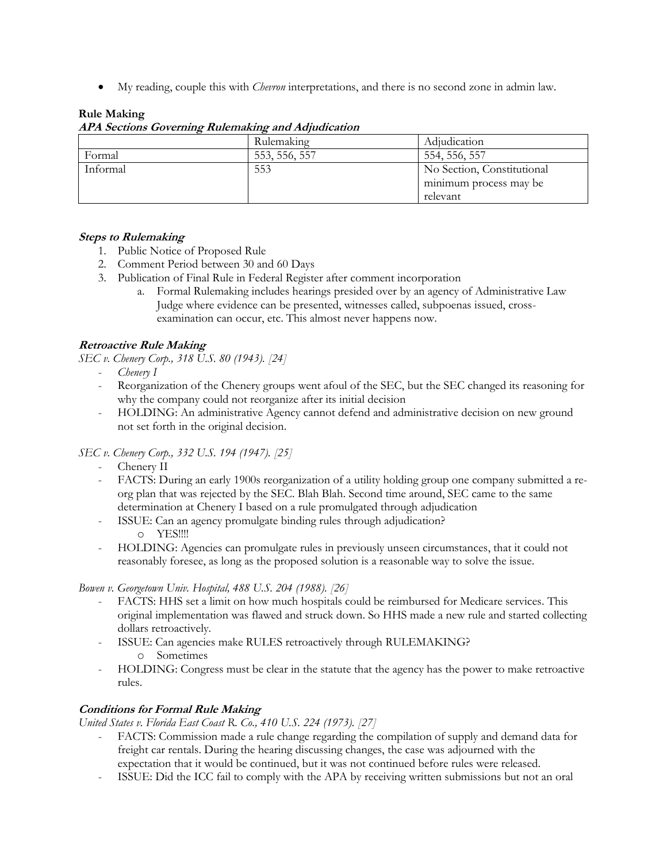• My reading, couple this with *Chevron* interpretations, and there is no second zone in admin law.

## **Rule Making**

|          | Rulemaking    | Adjudication               |
|----------|---------------|----------------------------|
| Formal   | 553, 556, 557 | 554, 556, 557              |
| Informal | 553           | No Section, Constitutional |
|          |               | minimum process may be     |
|          |               | relevant                   |

#### **APA Sections Governing Rulemaking and Adjudication**

## **Steps to Rulemaking**

- 1. Public Notice of Proposed Rule
- 2. Comment Period between 30 and 60 Days
- 3. Publication of Final Rule in Federal Register after comment incorporation
	- a. Formal Rulemaking includes hearings presided over by an agency of Administrative Law Judge where evidence can be presented, witnesses called, subpoenas issued, crossexamination can occur, etc. This almost never happens now.

## **Retroactive Rule Making**

*SEC v. Chenery Corp., 318 U.S. 80 (1943). [24]*

- *Chenery I*
- Reorganization of the Chenery groups went afoul of the SEC, but the SEC changed its reasoning for why the company could not reorganize after its initial decision
- HOLDING: An administrative Agency cannot defend and administrative decision on new ground not set forth in the original decision.

## *SEC v. Chenery Corp., 332 U.S. 194 (1947). [25]*

- Chenery II
- FACTS: During an early 1900s reorganization of a utility holding group one company submitted a reorg plan that was rejected by the SEC. Blah Blah. Second time around, SEC came to the same determination at Chenery I based on a rule promulgated through adjudication
- ISSUE: Can an agency promulgate binding rules through adjudication? o YES!!!!
- HOLDING: Agencies can promulgate rules in previously unseen circumstances, that it could not reasonably foresee, as long as the proposed solution is a reasonable way to solve the issue.

## *Bowen v. Georgetown Univ. Hospital, 488 U.S. 204 (1988). [26]*

- FACTS: HHS set a limit on how much hospitals could be reimbursed for Medicare services. This original implementation was flawed and struck down. So HHS made a new rule and started collecting dollars retroactively.
- ISSUE: Can agencies make RULES retroactively through RULEMAKING? o Sometimes
- HOLDING: Congress must be clear in the statute that the agency has the power to make retroactive rules.

## **Conditions for Formal Rule Making**

*United States v. Florida East Coast R. Co., 410 U.S. 224 (1973). [27]*

- FACTS: Commission made a rule change regarding the compilation of supply and demand data for freight car rentals. During the hearing discussing changes, the case was adjourned with the expectation that it would be continued, but it was not continued before rules were released.
- ISSUE: Did the ICC fail to comply with the APA by receiving written submissions but not an oral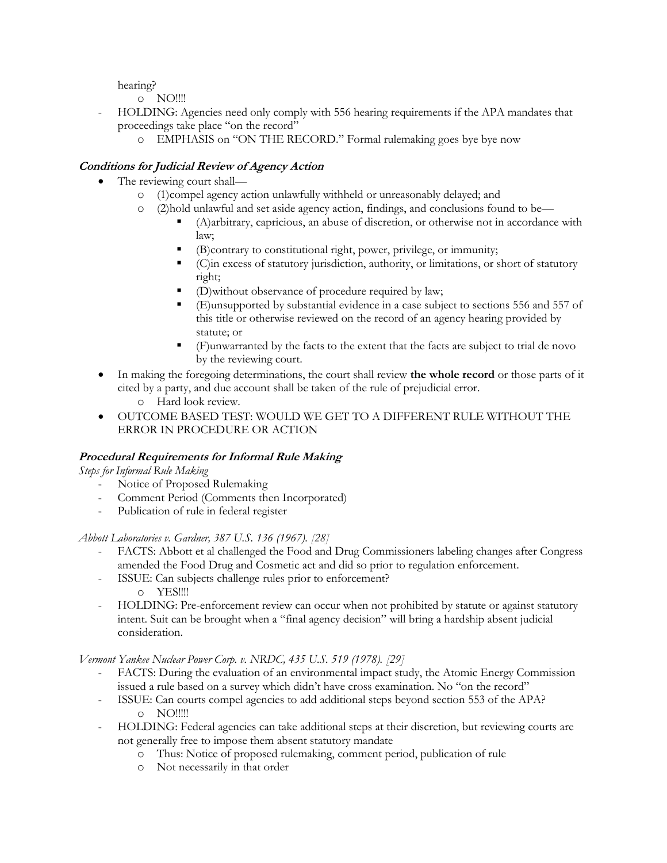hearing?

o NO!!!!

- HOLDING: Agencies need only comply with 556 hearing requirements if the APA mandates that proceedings take place "on the record"
	- o EMPHASIS on "ON THE RECORD." Formal rulemaking goes bye bye now

## **Conditions for Judicial Review of Agency Action**

- The reviewing court shall
	- o (1)compel agency action unlawfully withheld or unreasonably delayed; and
	- o (2)hold unlawful and set aside agency action, findings, and conclusions found to be—
		- (A)arbitrary, capricious, an abuse of discretion, or otherwise not in accordance with law;
		- (B)contrary to constitutional right, power, privilege, or immunity;
		- (C)in excess of statutory jurisdiction, authority, or limitations, or short of statutory right;
		- (D)without observance of procedure required by law;
		- (E)unsupported by substantial evidence in a case subject to sections 556 and 557 of this title or otherwise reviewed on the record of an agency hearing provided by statute; or
		- (F)unwarranted by the facts to the extent that the facts are subject to trial de novo by the reviewing court.
- In making the foregoing determinations, the court shall review **the whole record** or those parts of it cited by a party, and due account shall be taken of the rule of prejudicial error.
	- o Hard look review.
- OUTCOME BASED TEST: WOULD WE GET TO A DIFFERENT RULE WITHOUT THE ERROR IN PROCEDURE OR ACTION

## **Procedural Requirements for Informal Rule Making**

*Steps for Informal Rule Making*

- Notice of Proposed Rulemaking
- Comment Period (Comments then Incorporated)
- Publication of rule in federal register

*Abbott Laboratories v. Gardner, 387 U.S. 136 (1967). [28]*

- FACTS: Abbott et al challenged the Food and Drug Commissioners labeling changes after Congress amended the Food Drug and Cosmetic act and did so prior to regulation enforcement.
- ISSUE: Can subjects challenge rules prior to enforcement? o YES!!!!
- HOLDING: Pre-enforcement review can occur when not prohibited by statute or against statutory intent. Suit can be brought when a "final agency decision" will bring a hardship absent judicial consideration.

*Vermont Yankee Nuclear Power Corp. v. NRDC, 435 U.S. 519 (1978). [29]*

- FACTS: During the evaluation of an environmental impact study, the Atomic Energy Commission issued a rule based on a survey which didn't have cross examination. No "on the record"
	- ISSUE: Can courts compel agencies to add additional steps beyond section 553 of the APA? o NO!!!!!
- HOLDING: Federal agencies can take additional steps at their discretion, but reviewing courts are not generally free to impose them absent statutory mandate
	- o Thus: Notice of proposed rulemaking, comment period, publication of rule
	- o Not necessarily in that order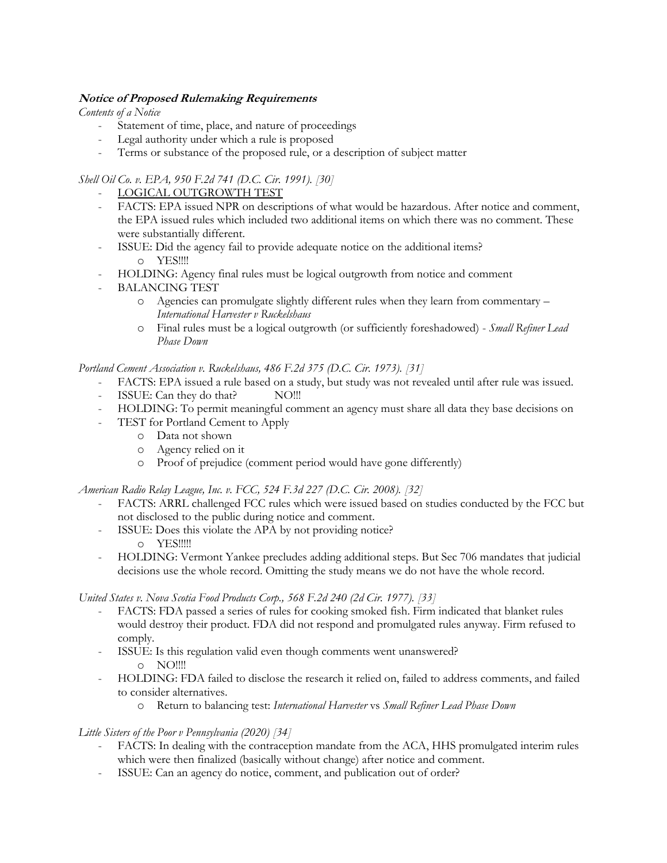## **Notice of Proposed Rulemaking Requirements**

*Contents of a Notice*

- Statement of time, place, and nature of proceedings
- Legal authority under which a rule is proposed
- Terms or substance of the proposed rule, or a description of subject matter

## *Shell Oil Co. v. EPA, 950 F.2d 741 (D.C. Cir. 1991). [30]*

- LOGICAL OUTGROWTH TEST
- FACTS: EPA issued NPR on descriptions of what would be hazardous. After notice and comment, the EPA issued rules which included two additional items on which there was no comment. These were substantially different.
- ISSUE: Did the agency fail to provide adequate notice on the additional items? o YES!!!!
- HOLDING: Agency final rules must be logical outgrowth from notice and comment
- BALANCING TEST
	- o Agencies can promulgate slightly different rules when they learn from commentary *International Harvester v Ruckelshaus*
	- o Final rules must be a logical outgrowth (or sufficiently foreshadowed) *Small Refiner Lead Phase Down*

*Portland Cement Association v. Ruckelshaus, 486 F.2d 375 (D.C. Cir. 1973). [31]*

- FACTS: EPA issued a rule based on a study, but study was not revealed until after rule was issued.
- ISSUE: Can they do that? NO!!!
- HOLDING: To permit meaningful comment an agency must share all data they base decisions on
- TEST for Portland Cement to Apply
	- o Data not shown
	- o Agency relied on it
	- o Proof of prejudice (comment period would have gone differently)

*American Radio Relay League, Inc. v. FCC, 524 F.3d 227 (D.C. Cir. 2008). [32]*

- FACTS: ARRL challenged FCC rules which were issued based on studies conducted by the FCC but not disclosed to the public during notice and comment.
- ISSUE: Does this violate the APA by not providing notice?
	- o YES!!!!!
- HOLDING: Vermont Yankee precludes adding additional steps. But Sec 706 mandates that judicial decisions use the whole record. Omitting the study means we do not have the whole record.

*United States v. Nova Scotia Food Products Corp., 568 F.2d 240 (2d Cir. 1977). [33]*

- FACTS: FDA passed a series of rules for cooking smoked fish. Firm indicated that blanket rules would destroy their product. FDA did not respond and promulgated rules anyway. Firm refused to comply.
- ISSUE: Is this regulation valid even though comments went unanswered? o NO!!!!
- HOLDING: FDA failed to disclose the research it relied on, failed to address comments, and failed to consider alternatives.
	- o Return to balancing test: *International Harvester* vs *Small Refiner Lead Phase Down*

## *Little Sisters of the Poor v Pennsylvania (2020) [34]*

- FACTS: In dealing with the contraception mandate from the ACA, HHS promulgated interim rules which were then finalized (basically without change) after notice and comment.
- ISSUE: Can an agency do notice, comment, and publication out of order?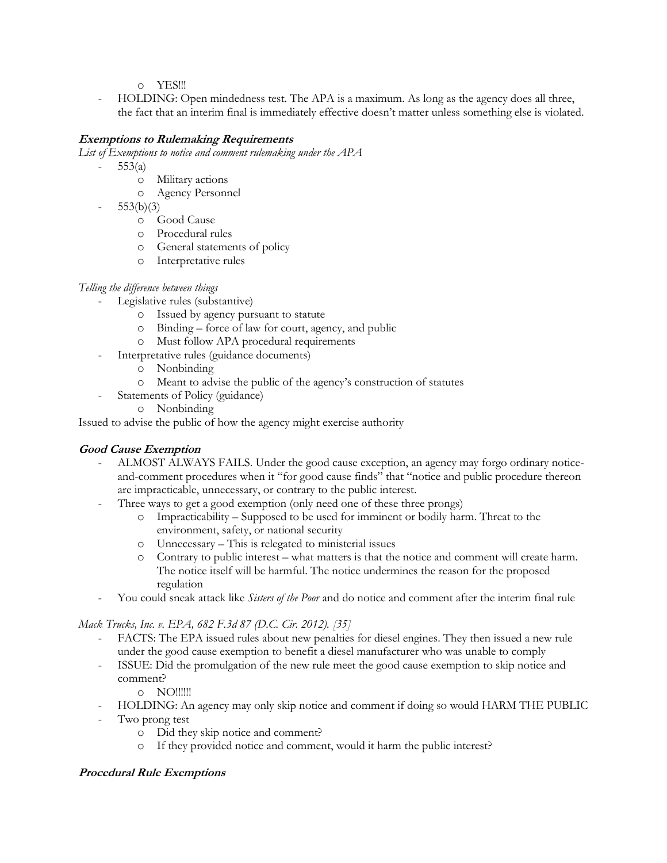o YES!!!

- HOLDING: Open mindedness test. The APA is a maximum. As long as the agency does all three, the fact that an interim final is immediately effective doesn't matter unless something else is violated.

## **Exemptions to Rulemaking Requirements**

*List of Exemptions to notice and comment rulemaking under the APA*

- $553(a)$ 
	- o Military actions
	- o Agency Personnel
- $553(b)(3)$ 
	- o Good Cause
	- o Procedural rules
	- o General statements of policy
	- o Interpretative rules

## *Telling the difference between things*

- Legislative rules (substantive)
	- o Issued by agency pursuant to statute
	- o Binding force of law for court, agency, and public
	- o Must follow APA procedural requirements
	- Interpretative rules (guidance documents)
		- o Nonbinding
		- o Meant to advise the public of the agency's construction of statutes
	- Statements of Policy (guidance)
		- o Nonbinding

Issued to advise the public of how the agency might exercise authority

## **Good Cause Exemption**

- ALMOST ALWAYS FAILS. Under the good cause exception, an agency may forgo ordinary noticeand-comment procedures when it "for good cause finds" that "notice and public procedure thereon are impracticable, unnecessary, or contrary to the public interest.
- Three ways to get a good exemption (only need one of these three prongs)
	- o Impracticability Supposed to be used for imminent or bodily harm. Threat to the environment, safety, or national security
	- o Unnecessary This is relegated to ministerial issues
	- o Contrary to public interest what matters is that the notice and comment will create harm. The notice itself will be harmful. The notice undermines the reason for the proposed regulation
- You could sneak attack like *Sisters of the Poor* and do notice and comment after the interim final rule

*Mack Trucks, Inc. v. EPA, 682 F.3d 87 (D.C. Cir. 2012). [35]*

- FACTS: The EPA issued rules about new penalties for diesel engines. They then issued a new rule under the good cause exemption to benefit a diesel manufacturer who was unable to comply
- ISSUE: Did the promulgation of the new rule meet the good cause exemption to skip notice and comment?
	- o NO!!!!!!
- HOLDING: An agency may only skip notice and comment if doing so would HARM THE PUBLIC Two prong test
	- o Did they skip notice and comment?
	- o If they provided notice and comment, would it harm the public interest?

## **Procedural Rule Exemptions**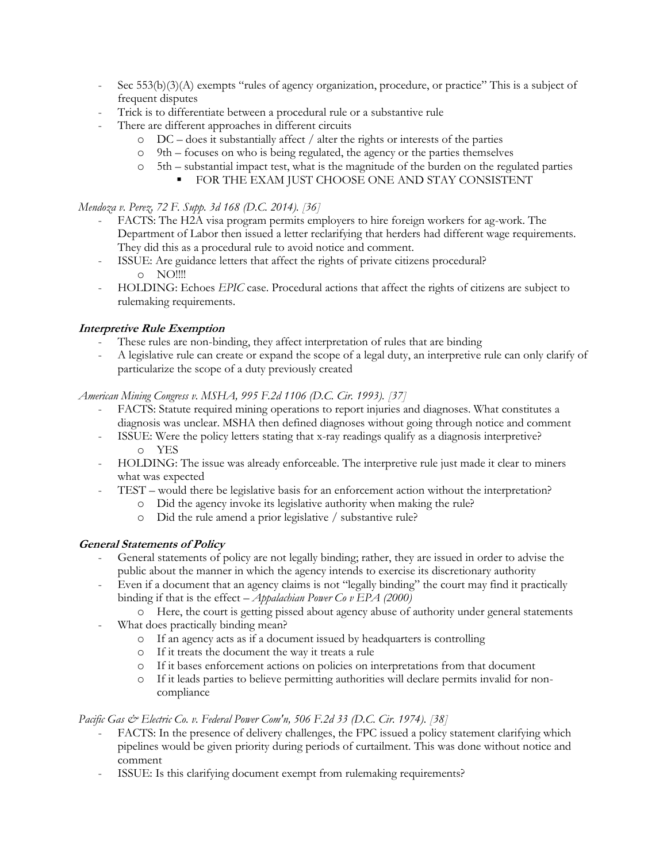- Sec  $553(b)(3)(A)$  exempts "rules of agency organization, procedure, or practice" This is a subject of frequent disputes
- Trick is to differentiate between a procedural rule or a substantive rule
- There are different approaches in different circuits
	- $\circ$  DC does it substantially affect / alter the rights or interests of the parties
	- o 9th focuses on who is being regulated, the agency or the parties themselves
	- o 5th substantial impact test, what is the magnitude of the burden on the regulated parties
		- FOR THE EXAM JUST CHOOSE ONE AND STAY CONSISTENT

## *Mendoza v. Perez, 72 F. Supp. 3d 168 (D.C. 2014). [36]*

- FACTS: The H2A visa program permits employers to hire foreign workers for ag-work. The Department of Labor then issued a letter reclarifying that herders had different wage requirements. They did this as a procedural rule to avoid notice and comment.
- ISSUE: Are guidance letters that affect the rights of private citizens procedural? o NO!!!!
- HOLDING: Echoes *EPIC* case. Procedural actions that affect the rights of citizens are subject to rulemaking requirements.

## **Interpretive Rule Exemption**

- These rules are non-binding, they affect interpretation of rules that are binding
- A legislative rule can create or expand the scope of a legal duty, an interpretive rule can only clarify of particularize the scope of a duty previously created

## *American Mining Congress v. MSHA, 995 F.2d 1106 (D.C. Cir. 1993). [37]*

- FACTS: Statute required mining operations to report injuries and diagnoses. What constitutes a diagnosis was unclear. MSHA then defined diagnoses without going through notice and comment
- ISSUE: Were the policy letters stating that x-ray readings qualify as a diagnosis interpretive? o YES
- HOLDING: The issue was already enforceable. The interpretive rule just made it clear to miners what was expected
- TEST would there be legislative basis for an enforcement action without the interpretation?
	- o Did the agency invoke its legislative authority when making the rule?
	- o Did the rule amend a prior legislative / substantive rule?

## **General Statements of Policy**

- General statements of policy are not legally binding; rather, they are issued in order to advise the public about the manner in which the agency intends to exercise its discretionary authority
- Even if a document that an agency claims is not "legally binding" the court may find it practically binding if that is the effect *– Appalachian Power Co v EPA (2000)*
- o Here, the court is getting pissed about agency abuse of authority under general statements
	- What does practically binding mean?
		- o If an agency acts as if a document issued by headquarters is controlling
		- o If it treats the document the way it treats a rule
		- o If it bases enforcement actions on policies on interpretations from that document
		- o If it leads parties to believe permitting authorities will declare permits invalid for noncompliance

## *Pacific Gas & Electric Co. v. Federal Power Com'n, 506 F.2d 33 (D.C. Cir. 1974). [38]*

- FACTS: In the presence of delivery challenges, the FPC issued a policy statement clarifying which pipelines would be given priority during periods of curtailment. This was done without notice and comment
- ISSUE: Is this clarifying document exempt from rulemaking requirements?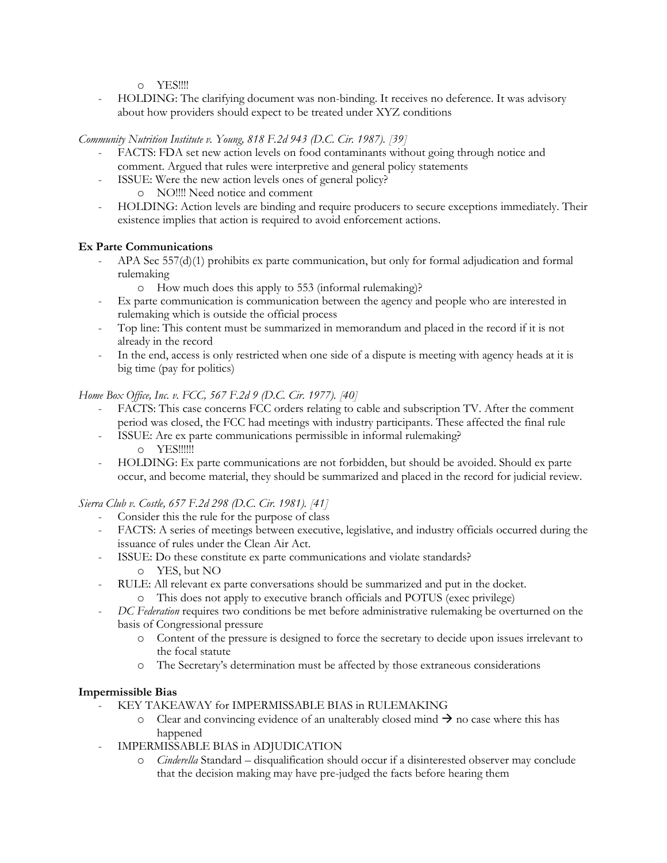o YES!!!!

- HOLDING: The clarifying document was non-binding. It receives no deference. It was advisory about how providers should expect to be treated under XYZ conditions

*Community Nutrition Institute v. Young, 818 F.2d 943 (D.C. Cir. 1987). [39]*

- FACTS: FDA set new action levels on food contaminants without going through notice and comment. Argued that rules were interpretive and general policy statements
	- ISSUE: Were the new action levels ones of general policy?
		- o NO!!!! Need notice and comment
- HOLDING: Action levels are binding and require producers to secure exceptions immediately. Their existence implies that action is required to avoid enforcement actions.

## **Ex Parte Communications**

- APA Sec 557(d)(1) prohibits ex parte communication, but only for formal adjudication and formal rulemaking
	- o How much does this apply to 553 (informal rulemaking)?
- Ex parte communication is communication between the agency and people who are interested in rulemaking which is outside the official process
- Top line: This content must be summarized in memorandum and placed in the record if it is not already in the record
- In the end, access is only restricted when one side of a dispute is meeting with agency heads at it is big time (pay for politics)

## *Home Box Office, Inc. v. FCC, 567 F.2d 9 (D.C. Cir. 1977). [40]*

- FACTS: This case concerns FCC orders relating to cable and subscription TV. After the comment period was closed, the FCC had meetings with industry participants. These affected the final rule
- ISSUE: Are ex parte communications permissible in informal rulemaking? o YES!!!!!!
- HOLDING: Ex parte communications are not forbidden, but should be avoided. Should ex parte occur, and become material, they should be summarized and placed in the record for judicial review.

*Sierra Club v. Costle, 657 F.2d 298 (D.C. Cir. 1981). [41]*

- Consider this the rule for the purpose of class
- FACTS: A series of meetings between executive, legislative, and industry officials occurred during the issuance of rules under the Clean Air Act.
- ISSUE: Do these constitute ex parte communications and violate standards? o YES, but NO
- RULE: All relevant ex parte conversations should be summarized and put in the docket.
	- o This does not apply to executive branch officials and POTUS (exec privilege)
- *DC Federation* requires two conditions be met before administrative rulemaking be overturned on the basis of Congressional pressure
	- o Content of the pressure is designed to force the secretary to decide upon issues irrelevant to the focal statute
	- o The Secretary's determination must be affected by those extraneous considerations

## **Impermissible Bias**

- KEY TAKEAWAY for IMPERMISSABLE BIAS in RULEMAKING
	- $\circ$  Clear and convincing evidence of an unalterably closed mind  $\rightarrow$  no case where this has happened
- IMPERMISSABLE BIAS in ADJUDICATION
	- o *Cinderella* Standard disqualification should occur if a disinterested observer may conclude that the decision making may have pre-judged the facts before hearing them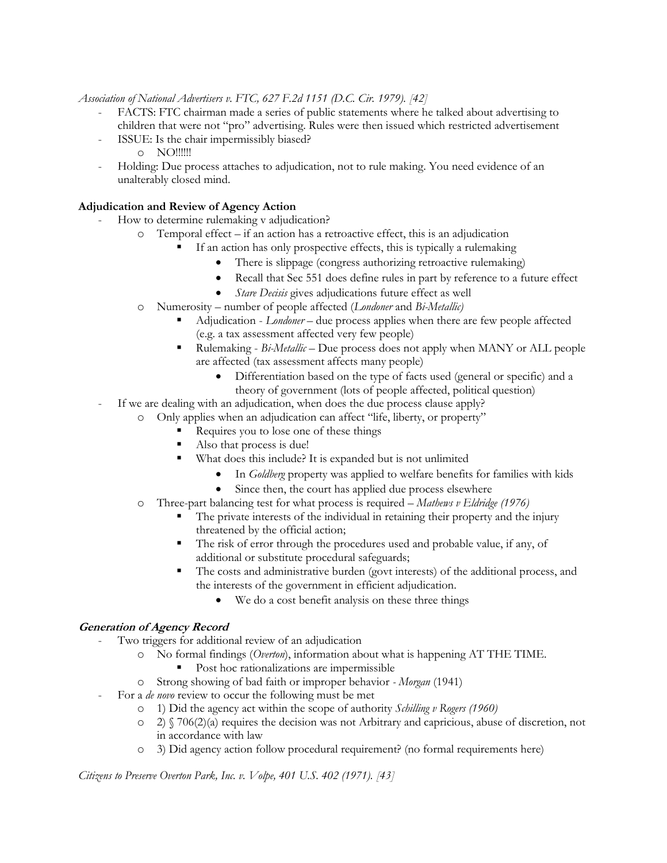*Association of National Advertisers v. FTC, 627 F.2d 1151 (D.C. Cir. 1979). [42]*

- FACTS: FTC chairman made a series of public statements where he talked about advertising to children that were not "pro" advertising. Rules were then issued which restricted advertisement
	- ISSUE: Is the chair impermissibly biased?
		- o NO!!!!!!
- Holding: Due process attaches to adjudication, not to rule making. You need evidence of an unalterably closed mind.

#### **Adjudication and Review of Agency Action**

- How to determine rulemaking v adjudication?
	- o Temporal effect if an action has a retroactive effect, this is an adjudication
		- If an action has only prospective effects, this is typically a rulemaking
			- There is slippage (congress authorizing retroactive rulemaking)
			- Recall that Sec 551 does define rules in part by reference to a future effect
			- *Stare Decisis* gives adjudications future effect as well
	- o Numerosity number of people affected (*Londoner* and *Bi-Metallic)*
		- Adjudication *Londoner* due process applies when there are few people affected (e.g. a tax assessment affected very few people)
		- Rulemaking *Bi-Metallic* Due process does not apply when MANY or ALL people are affected (tax assessment affects many people)
			- Differentiation based on the type of facts used (general or specific) and a theory of government (lots of people affected, political question)
- If we are dealing with an adjudication, when does the due process clause apply?
	- o Only applies when an adjudication can affect "life, liberty, or property"
		- Requires you to lose one of these things
		- Also that process is due!
		- What does this include? It is expanded but is not unlimited
			- In *Goldberg* property was applied to welfare benefits for families with kids
			- Since then, the court has applied due process elsewhere
	- o Three-part balancing test for what process is required *Mathews v Eldridge (1976)*
		- The private interests of the individual in retaining their property and the injury threatened by the official action;
		- The risk of error through the procedures used and probable value, if any, of additional or substitute procedural safeguards;
		- The costs and administrative burden (govt interests) of the additional process, and the interests of the government in efficient adjudication.
			- We do a cost benefit analysis on these three things

#### **Generation of Agency Record**

- Two triggers for additional review of an adjudication
	- No formal findings (*Overton*), information about what is happening AT THE TIME.
		- Post hoc rationalizations are impermissible
	- o Strong showing of bad faith or improper behavior *- Morgan* (1941)
	- For a *de novo* review to occur the following must be met
		- o 1) Did the agency act within the scope of authority *Schilling v Rogers (1960)*
		- $\circ$  2)  $\sqrt{(706(2)(a))}$  requires the decision was not Arbitrary and capricious, abuse of discretion, not in accordance with law
		- o 3) Did agency action follow procedural requirement? (no formal requirements here)

*Citizens to Preserve Overton Park, Inc. v. Volpe, 401 U.S. 402 (1971). [43]*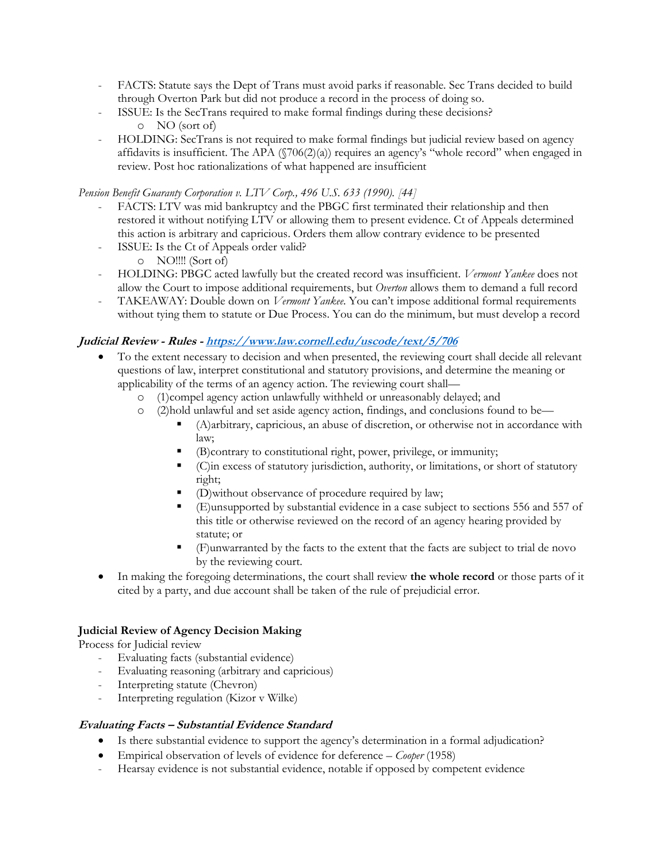- FACTS: Statute says the Dept of Trans must avoid parks if reasonable. Sec Trans decided to build through Overton Park but did not produce a record in the process of doing so.
- ISSUE: Is the SecTrans required to make formal findings during these decisions? o NO (sort of)
- HOLDING: SecTrans is not required to make formal findings but judicial review based on agency affidavits is insufficient. The APA  $(\sqrt{706(2)}\alpha)$  requires an agency's "whole record" when engaged in review. Post hoc rationalizations of what happened are insufficient

*Pension Benefit Guaranty Corporation v. LTV Corp., 496 U.S. 633 (1990). [44]*

- FACTS: LTV was mid bankruptcy and the PBGC first terminated their relationship and then restored it without notifying LTV or allowing them to present evidence. Ct of Appeals determined this action is arbitrary and capricious. Orders them allow contrary evidence to be presented
- ISSUE: Is the Ct of Appeals order valid?
	- o NO!!!! (Sort of)
- HOLDING: PBGC acted lawfully but the created record was insufficient. *Vermont Yankee* does not allow the Court to impose additional requirements, but *Overton* allows them to demand a full record
- TAKEAWAY: Double down on *Vermont Yankee*. You can't impose additional formal requirements without tying them to statute or Due Process. You can do the minimum, but must develop a record

## **Judicial Review - Rules - <https://www.law.cornell.edu/uscode/text/5/706>**

- To the extent necessary to decision and when presented, the reviewing court shall decide all relevant questions of law, interpret constitutional and statutory provisions, and determine the meaning or applicability of the terms of an agency action. The reviewing court shall
	- o (1)compel agency action unlawfully withheld or unreasonably delayed; and
	- o (2)hold unlawful and set aside agency action, findings, and conclusions found to be—
		- (A)arbitrary, capricious, an abuse of discretion, or otherwise not in accordance with law;
		- (B)contrary to constitutional right, power, privilege, or immunity;
		- (C)in excess of statutory jurisdiction, authority, or limitations, or short of statutory right;
		- (D)without observance of procedure required by law;
		- (E)unsupported by substantial evidence in a case subject to sections 556 and 557 of this title or otherwise reviewed on the record of an agency hearing provided by statute; or
		- (F)unwarranted by the facts to the extent that the facts are subject to trial de novo by the reviewing court.
- In making the foregoing determinations, the court shall review **the whole record** or those parts of it cited by a party, and due account shall be taken of the rule of prejudicial error.

## **Judicial Review of Agency Decision Making**

Process for Judicial review

- Evaluating facts (substantial evidence)
- Evaluating reasoning (arbitrary and capricious)
- Interpreting statute (Chevron)
- Interpreting regulation (Kizor v Wilke)

## **Evaluating Facts – Substantial Evidence Standard**

- Is there substantial evidence to support the agency's determination in a formal adjudication?
- Empirical observation of levels of evidence for deference *Cooper* (1958)
- Hearsay evidence is not substantial evidence, notable if opposed by competent evidence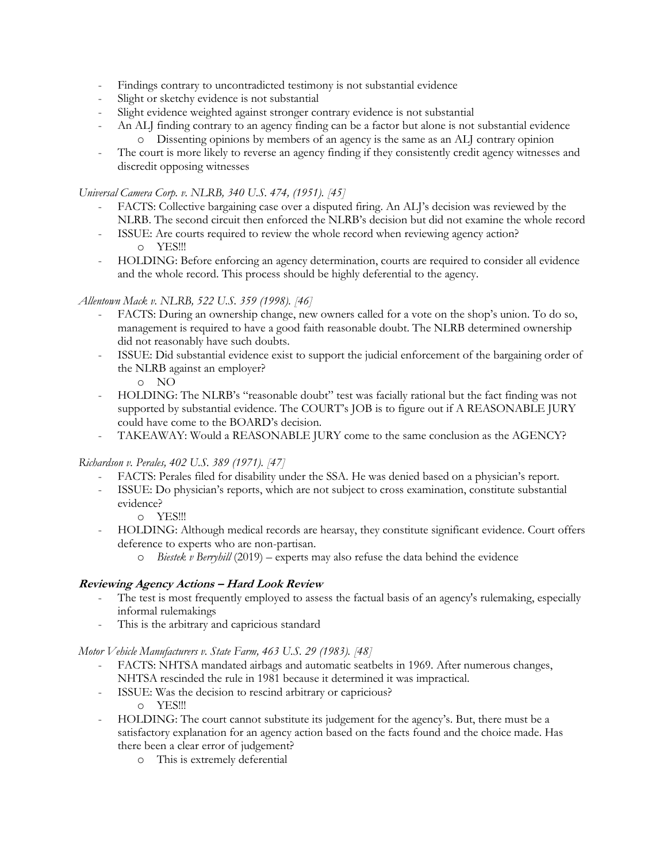- Findings contrary to uncontradicted testimony is not substantial evidence
- Slight or sketchy evidence is not substantial
- Slight evidence weighted against stronger contrary evidence is not substantial
- An ALJ finding contrary to an agency finding can be a factor but alone is not substantial evidence o Dissenting opinions by members of an agency is the same as an ALJ contrary opinion
- The court is more likely to reverse an agency finding if they consistently credit agency witnesses and discredit opposing witnesses

*Universal Camera Corp. v. NLRB, 340 U.S. 474, (1951). [45]*

- FACTS: Collective bargaining case over a disputed firing. An ALJ's decision was reviewed by the NLRB. The second circuit then enforced the NLRB's decision but did not examine the whole record
- ISSUE: Are courts required to review the whole record when reviewing agency action? o YES!!!
- HOLDING: Before enforcing an agency determination, courts are required to consider all evidence and the whole record. This process should be highly deferential to the agency.

#### *Allentown Mack v. NLRB, 522 U.S. 359 (1998). [46]*

- FACTS: During an ownership change, new owners called for a vote on the shop's union. To do so, management is required to have a good faith reasonable doubt. The NLRB determined ownership did not reasonably have such doubts.
- ISSUE: Did substantial evidence exist to support the judicial enforcement of the bargaining order of the NLRB against an employer?

o NO

- HOLDING: The NLRB's "reasonable doubt" test was facially rational but the fact finding was not supported by substantial evidence. The COURT's JOB is to figure out if A REASONABLE JURY could have come to the BOARD's decision.
- TAKEAWAY: Would a REASONABLE JURY come to the same conclusion as the AGENCY?

*Richardson v. Perales, 402 U.S. 389 (1971). [47]*

- FACTS: Perales filed for disability under the SSA. He was denied based on a physician's report.
- ISSUE: Do physician's reports, which are not subject to cross examination, constitute substantial evidence?

o YES!!!

- HOLDING: Although medical records are hearsay, they constitute significant evidence. Court offers deference to experts who are non-partisan.
	- o *Biestek v Berryhill* (2019) experts may also refuse the data behind the evidence

#### **Reviewing Agency Actions – Hard Look Review**

- The test is most frequently employed to assess the factual basis of an agency's rulemaking, especially informal rulemakings
- This is the arbitrary and capricious standard

#### *Motor Vehicle Manufacturers v. State Farm, 463 U.S. 29 (1983). [48]*

- FACTS: NHTSA mandated airbags and automatic seatbelts in 1969. After numerous changes, NHTSA rescinded the rule in 1981 because it determined it was impractical.
- ISSUE: Was the decision to rescind arbitrary or capricious?
	- o YES!!!
- HOLDING: The court cannot substitute its judgement for the agency's. But, there must be a satisfactory explanation for an agency action based on the facts found and the choice made. Has there been a clear error of judgement?
	- o This is extremely deferential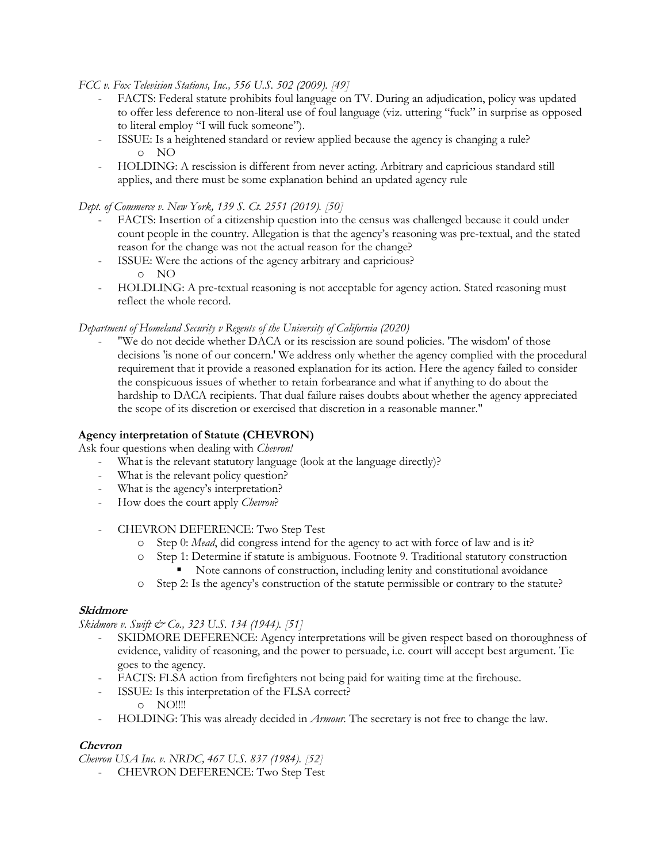*FCC v. Fox Television Stations, Inc., 556 U.S. 502 (2009). [49]*

- FACTS: Federal statute prohibits foul language on TV. During an adjudication, policy was updated to offer less deference to non-literal use of foul language (viz. uttering "fuck" in surprise as opposed to literal employ "I will fuck someone").
- ISSUE: Is a heightened standard or review applied because the agency is changing a rule? o NO
- HOLDING: A rescission is different from never acting. Arbitrary and capricious standard still applies, and there must be some explanation behind an updated agency rule

*Dept. of Commerce v. New York, 139 S. Ct. 2551 (2019). [50]*

- FACTS: Insertion of a citizenship question into the census was challenged because it could under count people in the country. Allegation is that the agency's reasoning was pre-textual, and the stated reason for the change was not the actual reason for the change?
- ISSUE: Were the actions of the agency arbitrary and capricious? o NO
- HOLDLING: A pre-textual reasoning is not acceptable for agency action. Stated reasoning must reflect the whole record.

#### *Department of Homeland Security v Regents of the University of California (2020)*

"We do not decide whether DACA or its rescission are sound policies. "The wisdom' of those decisions 'is none of our concern.' We address only whether the agency complied with the procedural requirement that it provide a reasoned explanation for its action. Here the agency failed to consider the conspicuous issues of whether to retain forbearance and what if anything to do about the hardship to DACA recipients. That dual failure raises doubts about whether the agency appreciated the scope of its discretion or exercised that discretion in a reasonable manner."

## **Agency interpretation of Statute (CHEVRON)**

Ask four questions when dealing with *Chevron!*

- What is the relevant statutory language (look at the language directly)?
- What is the relevant policy question?
- What is the agency's interpretation?
- How does the court apply *Chevron*?
- CHEVRON DEFERENCE: Two Step Test
	- o Step 0: *Mead*, did congress intend for the agency to act with force of law and is it?
	- o Step 1: Determine if statute is ambiguous. Footnote 9. Traditional statutory construction
		- Note cannons of construction, including lenity and constitutional avoidance
	- o Step 2: Is the agency's construction of the statute permissible or contrary to the statute?

#### **Skidmore**

*Skidmore v. Swift & Co., 323 U.S. 134 (1944).* [51]

- SKIDMORE DEFERENCE: Agency interpretations will be given respect based on thoroughness of evidence, validity of reasoning, and the power to persuade, i.e. court will accept best argument. Tie goes to the agency.
- FACTS: FLSA action from firefighters not being paid for waiting time at the firehouse.
- ISSUE: Is this interpretation of the FLSA correct? o NO!!!!
- HOLDING: This was already decided in *Armour.* The secretary is not free to change the law.

## **Chevron**

*Chevron USA Inc. v. NRDC, 467 U.S. 837 (1984). [52]*

- CHEVRON DEFERENCE: Two Step Test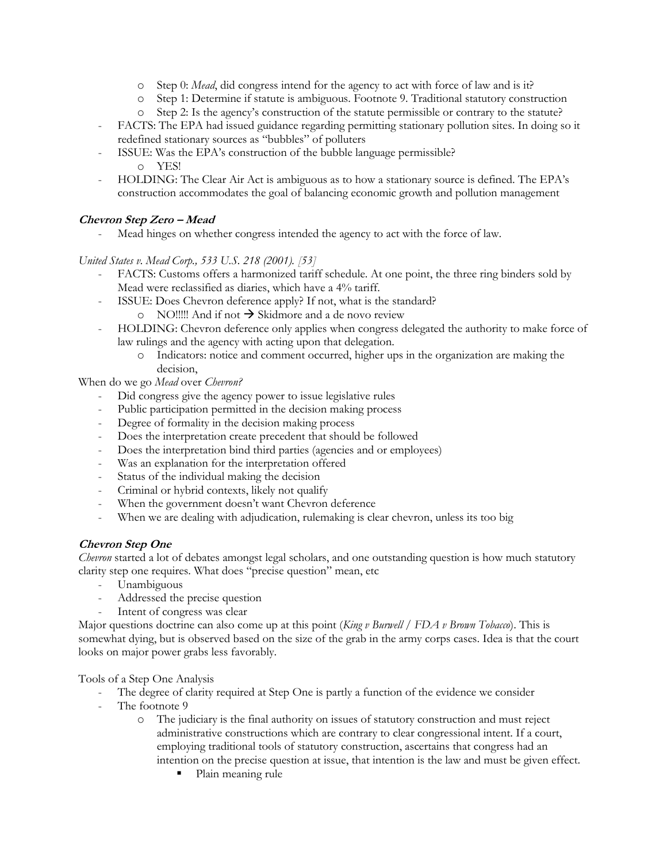- o Step 0: *Mead*, did congress intend for the agency to act with force of law and is it?
- o Step 1: Determine if statute is ambiguous. Footnote 9. Traditional statutory construction
- o Step 2: Is the agency's construction of the statute permissible or contrary to the statute?
- FACTS: The EPA had issued guidance regarding permitting stationary pollution sites. In doing so it redefined stationary sources as "bubbles" of polluters
- ISSUE: Was the EPA's construction of the bubble language permissible? o YES!
- HOLDING: The Clear Air Act is ambiguous as to how a stationary source is defined. The EPA's construction accommodates the goal of balancing economic growth and pollution management

## **Chevron Step Zero – Mead**

Mead hinges on whether congress intended the agency to act with the force of law.

## *United States v. Mead Corp., 533 U.S. 218 (2001). [53]*

- FACTS: Customs offers a harmonized tariff schedule. At one point, the three ring binders sold by Mead were reclassified as diaries, which have a 4% tariff.
- ISSUE: Does Chevron deference apply? If not, what is the standard?
	- o NO!!!!! And if not  $\rightarrow$  Skidmore and a de novo review
- HOLDING: Chevron deference only applies when congress delegated the authority to make force of law rulings and the agency with acting upon that delegation.
	- o Indicators: notice and comment occurred, higher ups in the organization are making the decision,

When do we go *Mead* over *Chevron?*

- Did congress give the agency power to issue legislative rules
- Public participation permitted in the decision making process
- Degree of formality in the decision making process
- Does the interpretation create precedent that should be followed
- Does the interpretation bind third parties (agencies and or employees)
- Was an explanation for the interpretation offered
- Status of the individual making the decision
- Criminal or hybrid contexts, likely not qualify
- When the government doesn't want Chevron deference
- When we are dealing with adjudication, rulemaking is clear chevron, unless its too big

## **Chevron Step One**

*Chevron* started a lot of debates amongst legal scholars, and one outstanding question is how much statutory clarity step one requires. What does "precise question" mean, etc

- Unambiguous
- Addressed the precise question
- Intent of congress was clear

Major questions doctrine can also come up at this point (*King v Burwell / FDA v Brown Tobacco*). This is somewhat dying, but is observed based on the size of the grab in the army corps cases. Idea is that the court looks on major power grabs less favorably.

Tools of a Step One Analysis

- The degree of clarity required at Step One is partly a function of the evidence we consider
- The footnote 9
	- o The judiciary is the final authority on issues of statutory construction and must reject administrative constructions which are contrary to clear congressional intent. If a court, employing traditional tools of statutory construction, ascertains that congress had an intention on the precise question at issue, that intention is the law and must be given effect.
		- Plain meaning rule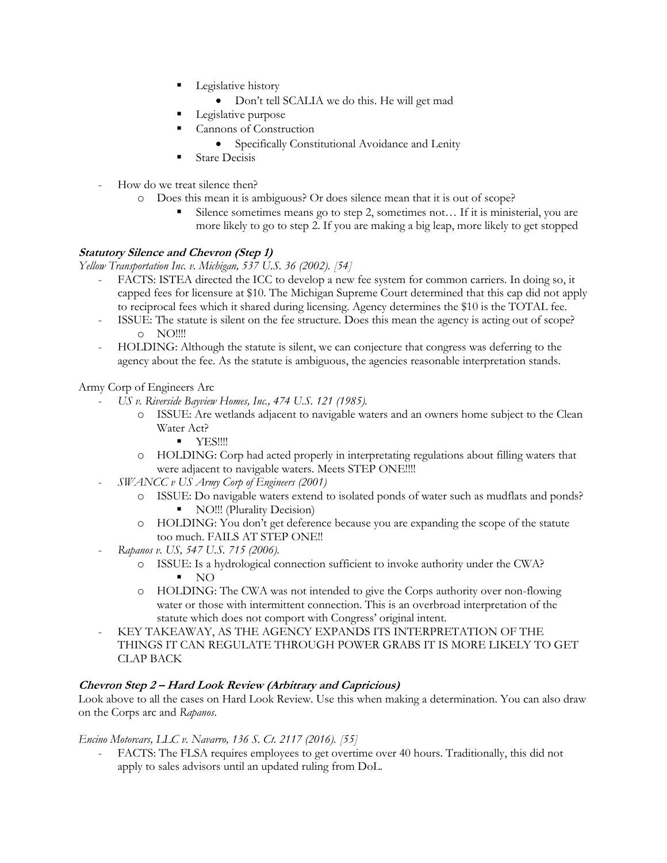- Legislative history
	- Don't tell SCALIA we do this. He will get mad
- Legislative purpose
- Cannons of Construction
	- Specifically Constitutional Avoidance and Lenity
- **Stare Decisis**
- How do we treat silence then?
	- o Does this mean it is ambiguous? Or does silence mean that it is out of scope?
		- Silence sometimes means go to step 2, sometimes not... If it is ministerial, you are more likely to go to step 2. If you are making a big leap, more likely to get stopped

## **Statutory Silence and Chevron (Step 1)**

*Yellow Transportation Inc. v. Michigan, 537 U.S. 36 (2002). [54]*

- FACTS: ISTEA directed the ICC to develop a new fee system for common carriers. In doing so, it capped fees for licensure at \$10. The Michigan Supreme Court determined that this cap did not apply to reciprocal fees which it shared during licensing. Agency determines the \$10 is the TOTAL fee.
	- ISSUE: The statute is silent on the fee structure. Does this mean the agency is acting out of scope? o NO!!!!
- HOLDING: Although the statute is silent, we can conjecture that congress was deferring to the agency about the fee. As the statute is ambiguous, the agencies reasonable interpretation stands.

Army Corp of Engineers Arc

- *US v. Riverside Bayview Homes, Inc., 474 U.S. 121 (1985).*
	- o ISSUE: Are wetlands adjacent to navigable waters and an owners home subject to the Clean Water Act?
		- YES!!!!
	- o HOLDING: Corp had acted properly in interpretating regulations about filling waters that were adjacent to navigable waters. Meets STEP ONE!!!!
- *SWANCC v US Army Corp of Engineers (2001)*
	- o ISSUE: Do navigable waters extend to isolated ponds of water such as mudflats and ponds? ■ NO!!! (Plurality Decision)
	- o HOLDING: You don't get deference because you are expanding the scope of the statute too much. FAILS AT STEP ONE!!
- *Rapanos v. US, 547 U.S. 715 (2006).*
	- o ISSUE: Is a hydrological connection sufficient to invoke authority under the CWA?  $\blacksquare$  NO
	- o HOLDING: The CWA was not intended to give the Corps authority over non-flowing water or those with intermittent connection. This is an overbroad interpretation of the statute which does not comport with Congress' original intent.
- KEY TAKEAWAY, AS THE AGENCY EXPANDS ITS INTERPRETATION OF THE THINGS IT CAN REGULATE THROUGH POWER GRABS IT IS MORE LIKELY TO GET CLAP BACK

## **Chevron Step 2 – Hard Look Review (Arbitrary and Capricious)**

Look above to all the cases on Hard Look Review. Use this when making a determination. You can also draw on the Corps arc and *Rapanos*.

## *Encino Motorcars, LLC v. Navarro, 136 S. Ct. 2117 (2016). [55]*

- FACTS: The FLSA requires employees to get overtime over 40 hours. Traditionally, this did not apply to sales advisors until an updated ruling from DoL.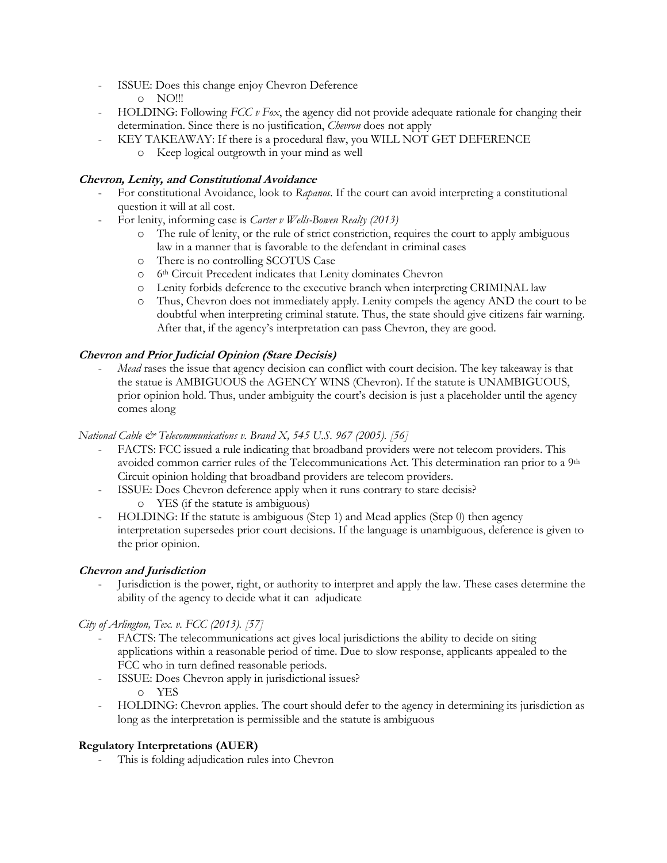- ISSUE: Does this change enjoy Chevron Deference
	- $O$  NO!!!
- HOLDING: Following *FCC v Fox*, the agency did not provide adequate rationale for changing their determination. Since there is no justification, *Chevron* does not apply
	- KEY TAKEAWAY: If there is a procedural flaw, you WILL NOT GET DEFERENCE
		- o Keep logical outgrowth in your mind as well

## **Chevron, Lenity, and Constitutional Avoidance**

- For constitutional Avoidance, look to *Rapanos*. If the court can avoid interpreting a constitutional question it will at all cost.
- For lenity, informing case is *Carter v Wells-Bowen Realty (2013)*
	- o The rule of lenity, or the rule of strict constriction, requires the court to apply ambiguous law in a manner that is favorable to the defendant in criminal cases
	- o There is no controlling SCOTUS Case
	- o 6th Circuit Precedent indicates that Lenity dominates Chevron
	- o Lenity forbids deference to the executive branch when interpreting CRIMINAL law
	- o Thus, Chevron does not immediately apply. Lenity compels the agency AND the court to be doubtful when interpreting criminal statute. Thus, the state should give citizens fair warning. After that, if the agency's interpretation can pass Chevron, they are good.

## **Chevron and Prior Judicial Opinion (Stare Decisis)**

*Mead* rases the issue that agency decision can conflict with court decision. The key takeaway is that the statue is AMBIGUOUS the AGENCY WINS (Chevron). If the statute is UNAMBIGUOUS, prior opinion hold. Thus, under ambiguity the court's decision is just a placeholder until the agency comes along

## *National Cable & Telecommunications v. Brand X, 545 U.S. 967 (2005). [56]*

- FACTS: FCC issued a rule indicating that broadband providers were not telecom providers. This avoided common carrier rules of the Telecommunications Act. This determination ran prior to a 9<sup>th</sup> Circuit opinion holding that broadband providers are telecom providers.
- ISSUE: Does Chevron deference apply when it runs contrary to stare decisis? o YES (if the statute is ambiguous)
- HOLDING: If the statute is ambiguous (Step 1) and Mead applies (Step 0) then agency interpretation supersedes prior court decisions. If the language is unambiguous, deference is given to the prior opinion.

## **Chevron and Jurisdiction**

- Jurisdiction is the power, right, or authority to interpret and apply the law. These cases determine the ability of the agency to decide what it can adjudicate

## *City of Arlington, Tex. v. FCC (2013). [57]*

- FACTS: The telecommunications act gives local jurisdictions the ability to decide on siting applications within a reasonable period of time. Due to slow response, applicants appealed to the FCC who in turn defined reasonable periods.
- ISSUE: Does Chevron apply in jurisdictional issues? o YES
- HOLDING: Chevron applies. The court should defer to the agency in determining its jurisdiction as long as the interpretation is permissible and the statute is ambiguous

## **Regulatory Interpretations (AUER)**

This is folding adjudication rules into Chevron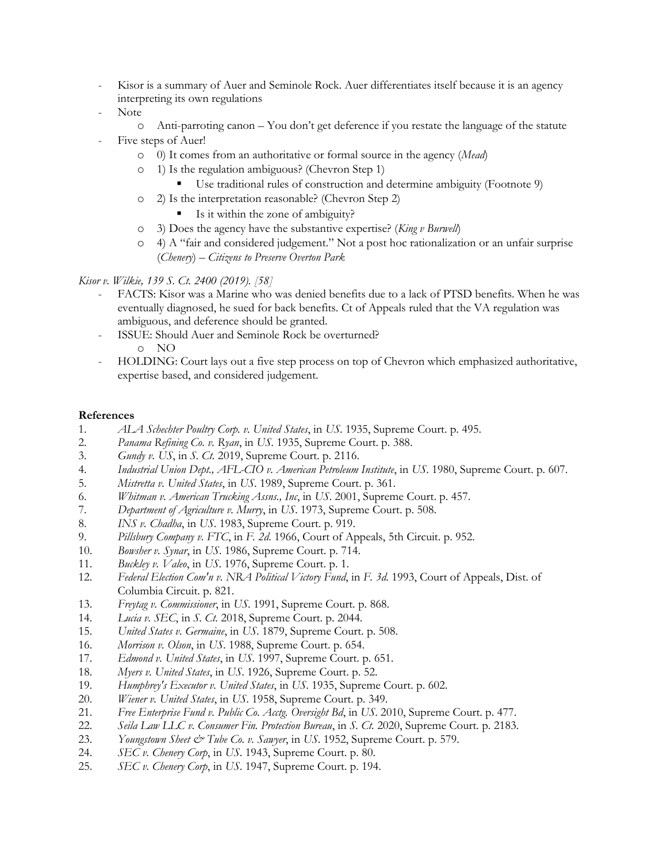- Kisor is a summary of Auer and Seminole Rock. Auer differentiates itself because it is an agency interpreting its own regulations
- Note
	- o Anti-parroting canon You don't get deference if you restate the language of the statute Five steps of Auer!
		- o 0) It comes from an authoritative or formal source in the agency (*Mead*)
		- o 1) Is the regulation ambiguous? (Chevron Step 1)
			- Use traditional rules of construction and determine ambiguity (Footnote 9)
		- o 2) Is the interpretation reasonable? (Chevron Step 2)
			- Is it within the zone of ambiguity?
		- o 3) Does the agency have the substantive expertise? (*King v Burwell*)
		- o 4) A "fair and considered judgement." Not a post hoc rationalization or an unfair surprise (*Chenery*) – *Citizens to Preserve Overton Park*

#### *Kisor v. Wilkie, 139 S. Ct. 2400 (2019). [58]*

- FACTS: Kisor was a Marine who was denied benefits due to a lack of PTSD benefits. When he was eventually diagnosed, he sued for back benefits. Ct of Appeals ruled that the VA regulation was ambiguous, and deference should be granted.
- ISSUE: Should Auer and Seminole Rock be overturned? o NO
- HOLDING: Court lays out a five step process on top of Chevron which emphasized authoritative, expertise based, and considered judgement.

#### **References**

- 1. *ALA Schechter Poultry Corp. v. United States*, in *US*. 1935, Supreme Court. p. 495.
- 2. *Panama Refining Co. v. Ryan*, in *US*. 1935, Supreme Court. p. 388.
- 3. *Gundy v. US*, in *S. Ct.* 2019, Supreme Court. p. 2116.
- 4. *Industrial Union Dept., AFL-CIO v. American Petroleum Institute*, in *US*. 1980, Supreme Court. p. 607.
- 5. *Mistretta v. United States*, in *US*. 1989, Supreme Court. p. 361.
- 6. *Whitman v. American Trucking Assns., Inc*, in *US*. 2001, Supreme Court. p. 457.
- 7. *Department of Agriculture v. Murry*, in *US*. 1973, Supreme Court. p. 508.
- 8. *INS v. Chadha*, in *US*. 1983, Supreme Court. p. 919.
- 9. *Pillsbury Company v. FTC*, in *F. 2d*. 1966, Court of Appeals, 5th Circuit. p. 952.
- 10. *Bowsher v. Synar*, in *US*. 1986, Supreme Court. p. 714.
- 11. *Buckley v. Valeo*, in *US*. 1976, Supreme Court. p. 1.
- 12. *Federal Election Com'n v. NRA Political Victory Fund*, in *F. 3d*. 1993, Court of Appeals, Dist. of Columbia Circuit. p. 821.
- 13. *Freytag v. Commissioner*, in *US*. 1991, Supreme Court. p. 868.
- 14. *Lucia v. SEC*, in *S. Ct.* 2018, Supreme Court. p. 2044.
- 15. *United States v. Germaine*, in *US*. 1879, Supreme Court. p. 508.
- 16. *Morrison v. Olson*, in *US*. 1988, Supreme Court. p. 654.
- 17. *Edmond v. United States*, in *US*. 1997, Supreme Court. p. 651.
- 18. *Myers v. United States*, in *US*. 1926, Supreme Court. p. 52.
- 19. *Humphrey's Executor v. United States*, in *US*. 1935, Supreme Court. p. 602.
- 20. *Wiener v. United States*, in *US*. 1958, Supreme Court. p. 349.
- 21. *Free Enterprise Fund v. Public Co. Acctg. Oversight Bd*, in *US*. 2010, Supreme Court. p. 477.
- 22. *Seila Law LLC v. Consumer Fin. Protection Bureau*, in *S. Ct.* 2020, Supreme Court. p. 2183.
- 23. *Youngstown Sheet & Tube Co. v. Sawyer*, in *US*. 1952, Supreme Court. p. 579.
- 24. *SEC v. Chenery Corp*, in *US*. 1943, Supreme Court. p. 80.
- 25. *SEC v. Chenery Corp*, in *US*. 1947, Supreme Court. p. 194.